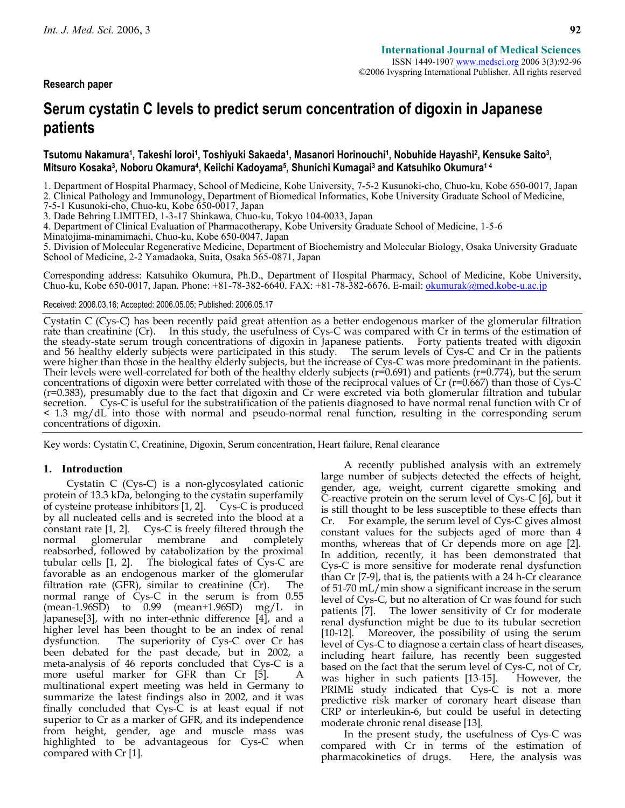**Research paper** 

# **Serum cystatin C levels to predict serum concentration of digoxin in Japanese patients**

# Tsutomu Nakamura<sup>1</sup>, Takeshi loroi<sup>1</sup>, Toshiyuki Sakaeda<sup>1</sup>, Masanori Horinouchi<sup>1</sup>, Nobuhide Hayashi<sup>2</sup>, Kensuke Saito<sup>3</sup>, **Mitsuro Kosaka3, Noboru Okamura4, Keiichi Kadoyama5, Shunichi Kumagai3 and Katsuhiko Okumura1 4**

1. Department of Hospital Pharmacy, School of Medicine, Kobe University, 7-5-2 Kusunoki-cho, Chuo-ku, Kobe 650-0017, Japan

2. Clinical Pathology and Immunology, Department of Biomedical Informatics, Kobe University Graduate School of Medicine,

7-5-1 Kusunoki-cho, Chuo-ku, Kobe 650-0017, Japan

3. Dade Behring LIMITED, 1-3-17 Shinkawa, Chuo-ku, Tokyo 104-0033, Japan

4. Department of Clinical Evaluation of Pharmacotherapy, Kobe University Graduate School of Medicine, 1-5-6

Minatojima-minamimachi, Chuo-ku, Kobe 650-0047, Japan

5. Division of Molecular Regenerative Medicine, Department of Biochemistry and Molecular Biology, Osaka University Graduate School of Medicine, 2-2 Yamadaoka, Suita, Osaka 565-0871, Japan

Corresponding address: Katsuhiko Okumura, Ph.D., Department of Hospital Pharmacy, School of Medicine, Kobe University, Chuo-ku, Kobe 650-0017, Japan. Phone: +81-78-382-6640. FAX: +81-78-382-6676. E-mail: okumurak@med.kobe-u.ac.jp

### Received: 2006.03.16; Accepted: 2006.05.05; Published: 2006.05.17

Cystatin C (Cys-C) has been recently paid great attention as a better endogenous marker of the glomerular filtration rate than creatinine (Cr). In this study, the usefulness of Cys-C was compared with Cr in terms of the es were higher than those in the healthy elderly subjects, but the increase of Cys-C was more predominant in the patients. Their levels were well-correlated for both of the healthy elderly subjects ( $r=0.691$ ) and patients ( $r=0.774$ ), but the serum concentrations of digoxin were better correlated with those of the reciprocal values of Cr ( $r$ (r=0.383), presumably due to the fact that digoxin and Cr were excreted via both glomerular filtration and tubular secretion. Cys-C is useful for the substratification of the patients diagnosed to have normal renal function with Cr of < 1.3 mg/dL into those with normal and pseudo-normal renal function, resulting in the corresponding serum concentrations of digoxin.

Key words: Cystatin C, Creatinine, Digoxin, Serum concentration, Heart failure, Renal clearance

# **1. Introduction**

Cystatin C (Cys-C) is a non-glycosylated cationic protein of 13.3 kDa, belonging to the cystatin superfamily of cysteine protease inhibitors [1, 2]. Cys-C is produced by all nucleated cells and is secreted into the blood at a constant rate [1, 2]. Cys-C is freely filtered through the normal glomerular membrane and completely reabsorbed, followed by catabolization by the proximal tubular cells [1, 2]. The biological fates of Cys-C are favorable as an endogenous marker of the glomerular filtration rate (GFR), similar to creatinine (Cr). The normal range of Cys-C in the serum is from 0.55  $(mean-1.96SD)$  to  $0.99$   $(mean+1.96SD)$  mg/L in Japanese[3], with no inter-ethnic difference [4], and a higher level has been thought to be an index of renal dysfunction. The superiority of Cys-C over Cr has been debated for the past decade, but in 2002, a meta-analysis of 46 reports concluded that Cys-C is a more useful marker for GFR than Cr [5]. A multinational expert meeting was held in Germany to summarize the latest findings also in 2002, and it was finally concluded that Cys-C is at least equal if not superior to Cr as a marker of GFR, and its independence from height, gender, age and muscle mass was highlighted to be advantageous for Cys-C when compared with Cr [1].

A recently published analysis with an extremely large number of subjects detected the effects of height, gender, age, weight, current cigarette smoking and C-reactive protein on the serum level of Cys-C [6], but it is still thought to be less susceptible to these effects than Cr. For example, the serum level of Cys-C gives almost constant values for the subjects aged of more than 4 months, whereas that of Cr depends more on age [2]. In addition, recently, it has been demonstrated that Cys-C is more sensitive for moderate renal dysfunction than Cr [7-9], that is, the patients with a 24 h-Cr clearance of 51-70 mL/min show a significant increase in the serum level of Cys-C, but no alteration of Cr was found for such patients [7]. The lower sensitivity of Cr for moderate renal dysfunction might be due to its tubular secretion [10-12]. Moreover, the possibility of using the serum level of Cys-C to diagnose a certain class of heart diseases, including heart failure, has recently been suggested based on the fact that the serum level of Cys-C, not of Cr, was higher in such patients [13-15]. However, the PRIME study indicated that Cys-C is not a more predictive risk marker of coronary heart disease than CRP or interleukin-6, but could be useful in detecting moderate chronic renal disease [13].

In the present study, the usefulness of Cys-C was compared with Cr in terms of the estimation of pharmacokinetics of drugs. Here, the analysis was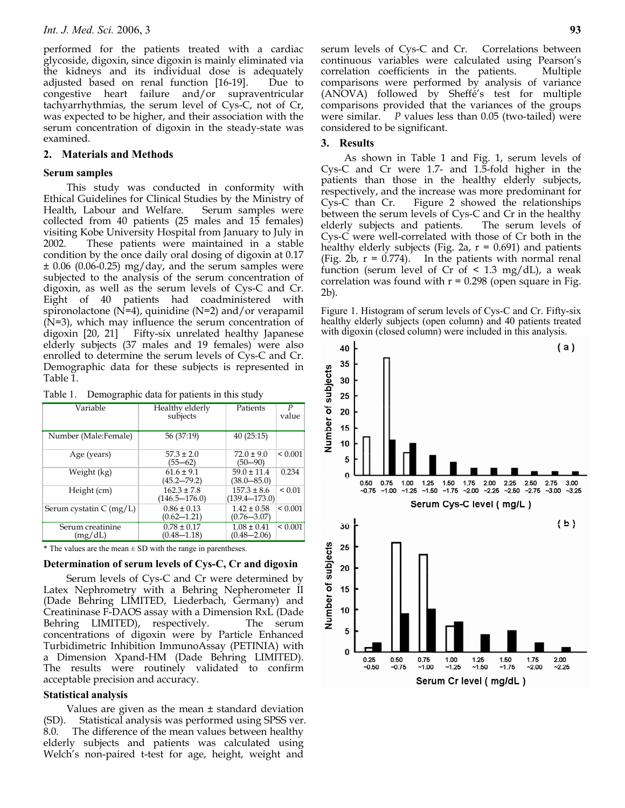performed for the patients treated with a cardiac glycoside, digoxin, since digoxin is mainly eliminated via the kidneys and its individual dose is adequately adjusted based on renal function [16-19]. Due to congestive heart failure and/or supraventricular tachyarrhythmias, the serum level of Cys-C, not of Cr, was expected to be higher, and their association with the serum concentration of digoxin in the steady-state was examined.

### **2. Materials and Methods**

## **Serum samples**

This study was conducted in conformity with Ethical Guidelines for Clinical Studies by the Ministry of Health, Labour and Welfare. Serum samples were collected from 40 patients (25 males and 15 females) visiting Kobe University Hospital from January to July in 2002. These patients were maintained in a stable condition by the once daily oral dosing of digoxin at 0.17 ± 0.06 (0.06-0.25) mg/day, and the serum samples were subjected to the analysis of the serum concentration of digoxin, as well as the serum levels of Cys-C and Cr. Eight of 40 patients had coadministered with spironolactone ( $N=4$ ), quinidine ( $N=2$ ) and/or verapamil (N=3), which may influence the serum concentration of digoxin [20, 21] Fifty-six unrelated healthy Japanese elderly subjects (37 males and 19 females) were also enrolled to determine the serum levels of Cys-C and Cr. Demographic data for these subjects is represented in Table 1.

Table 1. Demographic data for patients in this study

| Variable                        | Healthy elderly<br>subjects          | Patients                             | P<br>value   |
|---------------------------------|--------------------------------------|--------------------------------------|--------------|
| Number (Male:Female)            | 56 (37:19)                           | 40(25:15)                            |              |
| Age (years)                     | $57.3 \pm 2.0$<br>$(55 - 62)$        | $72.0 \pm 9.0$<br>$(50 - 90)$        | ${}_{0.001}$ |
| Weight (kg)                     | $61.6 \pm 9.1$<br>$(45.2 - 79.2)$    | $59.0 \pm 11.4$<br>$(38.0 - 85.0)$   | 0.234        |
| Height (cm)                     | $162.3 \pm 7.8$<br>$(146.5 - 176.0)$ | $157.3 \pm 8.6$<br>$(139.4 - 173.0)$ | ${}_{0.01}$  |
| Serum cystatin $C \frac{mg}{L}$ | $0.86 \pm 0.13$<br>$(0.62 - 1.21)$   | $1.42 \pm 0.58$<br>$(0.76 - 3.07)$   | ${}_{0.001}$ |
| Serum creatinine<br>(mg/dL)     | $0.78 \pm 0.17$<br>$(0.48 - 1.18)$   | $1.08 \pm 0.41$<br>$(0.48 - 2.06)$   | ${}_{0.001}$ |

 $*$  The values are the mean  $\pm$  SD with the range in parentheses.

# **Determination of serum levels of Cys-C, Cr and digoxin**

Serum levels of Cys-C and Cr were determined by Latex Nephrometry with a Behring Nepherometer II (Dade Behring LIMITED, Liederbach, Germany) and Creatininase F-DAOS assay with a Dimension RxL (Dade Behring LIMITED), respectively. The serum concentrations of digoxin were by Particle Enhanced Turbidimetric Inhibition ImmunoAssay (PETINIA) with a Dimension Xpand-HM (Dade Behring LIMITED). The results were routinely validated to confirm acceptable precision and accuracy.

# **Statistical analysis**

Values are given as the mean ± standard deviation (SD). Statistical analysis was performed using SPSS ver.  $8.0.$  The difference of the mean values between healthy elderly subjects and patients was calculated using Welch's non-paired t-test for age, height, weight and

serum levels of Cys-C and Cr. Correlations between continuous variables were calculated using Pearson's correlation coefficients in the patients. Multiple comparisons were performed by analysis of variance (ANOVA) followed by Sheffé's test for multiple comparisons provided that the variances of the groups were similar. *P* values less than 0.05 (two-tailed) were considered to be significant.

# **3. Results**

As shown in Table 1 and Fig. 1, serum levels of Cys-C and Cr were 1.7- and 1.5-fold higher in the patients than those in the healthy elderly subjects, respectively, and the increase was more predominant for Cys-C than Cr. Figure 2 showed the relationships between the serum levels of Cys-C and Cr in the healthy elderly subjects and patients. The serum levels of Cys-C were well-correlated with those of Cr both in the healthy elderly subjects (Fig. 2a,  $r = 0.691$ ) and patients (Fig. 2b,  $r = 0.774$ ). In the patients with normal renal function (serum level of Cr of  $\leq$  1.3 mg/dL), a weak correlation was found with  $r = 0.298$  (open square in Fig. 2b).

Figure 1. Histogram of serum levels of Cys-C and Cr. Fifty-six healthy elderly subjects (open column) and 40 patients treated with digoxin (closed column) were included in this analysis.

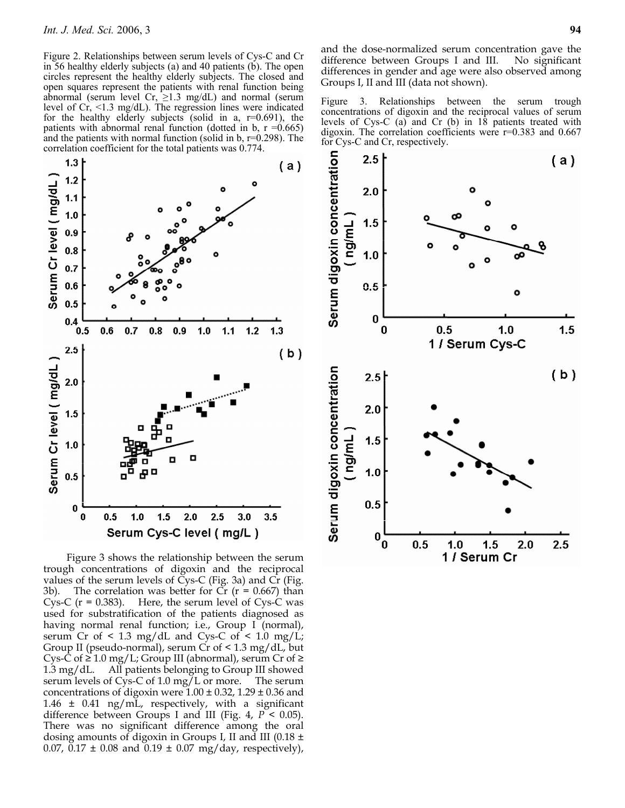Figure 2. Relationships between serum levels of Cys-C and Cr in 56 healthy elderly subjects (a) and 40 patients (b). The open circles represent the healthy elderly subjects. The closed and open squares represent the patients with renal function being abnormal (serum level Cr,  $\geq$ 1.3 mg/dL) and normal (serum level of Cr, <1.3 mg/dL). The regression lines were indicated for the healthy elderly subjects (solid in a,  $r=0.691$ ), the patients with abnormal renal function (dotted in b,  $r = 0.665$ ) and the patients with normal function (solid in  $\bar{b}$ , r=0.298). The correlation coefficient for the total patients was 0.774.



Figure 3 shows the relationship between the serum trough concentrations of digoxin and the reciprocal values of the serum levels of  $\tilde{C}$ ys-C (Fig. 3a) and  $\tilde{C}$ r (Fig. 3b). The correlation was better for  $Cr$  ( $r = 0.667$ ) than Cys-C  $(r = 0.383)$ . Here, the serum level of Cys-C was used for substratification of the patients diagnosed as having normal renal function; i.e., Group I (normal), serum Cr of  $\leq$  1.3 mg/dL and Cys-C of  $\leq$  1.0 mg/L; Group II (pseudo-normal), serum Cr of  $\leq$  1.3 mg/dL, but Cys-C of  $\geq 1.0$  mg/L; Group III (abnormal), serum Cr of  $\geq$ 1.3 mg/dL. All patients belonging to Group III showed serum levels of Cys-C of 1.0 mg/L or more. The serum concentrations of digoxin were  $1.00 \pm 0.32$ ,  $1.29 \pm 0.36$  and  $1.46 \pm 0.41$  ng/mL, respectively, with a significant difference between Groups I and III (Fig. 4, *P* < 0.05). There was no significant difference among the oral dosing amounts of digoxin in Groups I, II and III (0.18  $\pm$ 0.07, 0.17  $\pm$  0.08 and 0.19  $\pm$  0.07 mg/day, respectively),

and the dose-normalized serum concentration gave the difference between Groups I and III. No significant differences in gender and age were also observed among Groups I, II and III (data not shown).

Figure 3. Relationships between the serum trough concentrations of digoxin and the reciprocal values of serum levels of Cys-C (a) and Cr (b) in 18 patients treated with digoxin. The correlation coefficients were  $r=0.383$  and 0.667 for Cys-C and Cr, respectively.

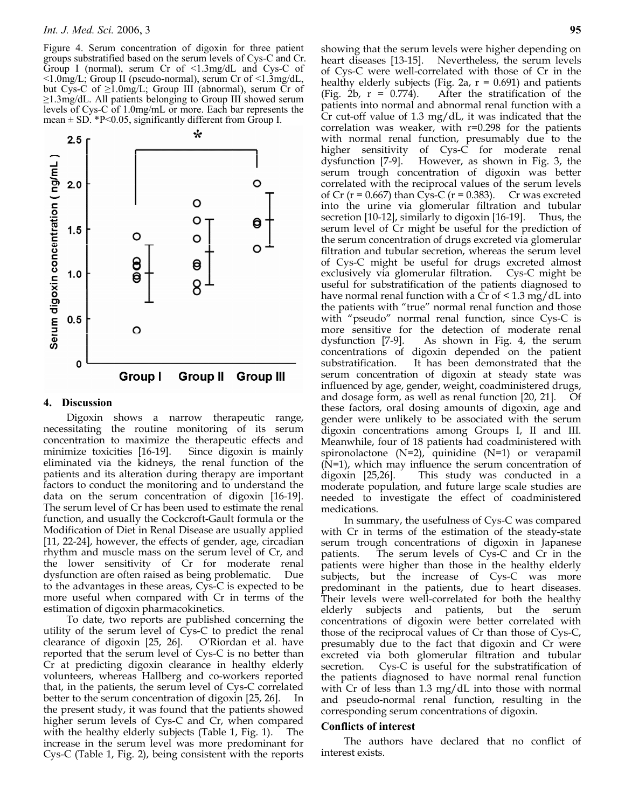Figure 4. Serum concentration of digoxin for three patient groups substratified based on the serum levels of Cys-C and Cr. Group I (normal), serum Cr of <1.3mg/dL and Cys-C of <1.0mg/L; Group II (pseudo-normal), serum Cr of <1.3mg/dL, but Cys-C of  $\geq 1.0$ mg/L; Group III (abnormal), serum Cr of ≥1.3mg/dL. All patients belonging to Group III showed serum levels of Cys-C of 1.0mg/mL or more. Each bar represents the mean  $\pm$  SD. \*P<0.05, significantly different from Group I.



#### **4. Discussion**

Digoxin shows a narrow therapeutic range, necessitating the routine monitoring of its serum concentration to maximize the therapeutic effects and minimize toxicities [16-19]. eliminated via the kidneys, the renal function of the patients and its alteration during therapy are important factors to conduct the monitoring and to understand the data on the serum concentration of digoxin [16-19]. The serum level of Cr has been used to estimate the renal function, and usually the Cockcroft-Gault formula or the Modification of Diet in Renal Disease are usually applied [11, 22-24], however, the effects of gender, age, circadian rhythm and muscle mass on the serum level of Cr, and the lower sensitivity of Cr for moderate renal dysfunction are often raised as being problematic. Due to the advantages in these areas, Cys-C is expected to be more useful when compared with Cr in terms of the estimation of digoxin pharmacokinetics.

To date, two reports are published concerning the utility of the serum level of Cys-C to predict the renal clearance of digoxin [25, 26]. O'Riordan et al. have reported that the serum level of Cys-C is no better than Cr at predicting digoxin clearance in healthy elderly volunteers, whereas Hallberg and co-workers reported that, in the patients, the serum level of Cys-C correlated better to the serum concentration of digoxin [25, 26]. In the present study, it was found that the patients showed higher serum levels of Cys-C and Cr, when compared with the healthy elderly subjects (Table 1, Fig. 1). The increase in the serum level was more predominant for Cys-C (Table 1, Fig. 2), being consistent with the reports

showing that the serum levels were higher depending on heart diseases [13-15]. Nevertheless, the serum levels of Cys-C were well-correlated with those of Cr in the healthy elderly subjects (Fig. 2a,  $r = 0.691$ ) and patients (Fig. 2b,  $r = 0.774$ ). After the stratification of the patients into normal and abnormal renal function with a Cr cut-off value of 1.3 mg/dL, it was indicated that the correlation was weaker, with r=0.298 for the patients with normal renal function, presumably due to the higher sensitivity of Cys-C for moderate renal dysfunction [7-9]. However, as shown in Fig. 3, the serum trough concentration of digoxin was better correlated with the reciprocal values of the serum levels of Cr ( $r = 0.667$ ) than Cys-C ( $r = 0.383$ ). Cr was excreted into the urine via glomerular filtration and tubular secretion [10-12], similarly to digoxin [16-19]. Thus, the serum level of Cr might be useful for the prediction of the serum concentration of drugs excreted via glomerular filtration and tubular secretion, whereas the serum level of Cys-C might be useful for drugs excreted almost exclusively via glomerular filtration. Cys-C might be useful for substratification of the patients diagnosed to have normal renal function with a  $Cr$  of  $\leq 1.3$  mg/dL into the patients with "true" normal renal function and those with "pseudo" normal renal function, since Cys-C is more sensitive for the detection of moderate renal dysfunction [7-9]. As shown in Fig. 4, the serum concentrations of digoxin depended on the patient substratification. It has been demonstrated that the serum concentration of digoxin at steady state was influenced by age, gender, weight, coadministered drugs, and dosage form, as well as renal function [20, 21]. Of these factors, oral dosing amounts of digoxin, age and gender were unlikely to be associated with the serum digoxin concentrations among Groups I, II and III. Meanwhile, four of 18 patients had coadministered with spironolactone  $(N=2)$ , quinidine  $(N=1)$  or verapamil (N=1), which may influence the serum concentration of digoxin [25,26]. This study was conducted in a moderate population, and future large scale studies are needed to investigate the effect of coadministered medications.

In summary, the usefulness of Cys-C was compared with Cr in terms of the estimation of the steady-state serum trough concentrations of digoxin in Japanese patients. The serum levels of Cys-C and Cr in the patients were higher than those in the healthy elderly subjects, but the increase of Cys-C was more predominant in the patients, due to heart diseases. Their levels were well-correlated for both the healthy elderly subjects and patients, but the serum concentrations of digoxin were better correlated with those of the reciprocal values of Cr than those of Cys-C, presumably due to the fact that digoxin and Cr were excreted via both glomerular filtration and tubular secretion. Cys-C is useful for the substratification of the patients diagnosed to have normal renal function with Cr of less than 1.3 mg/dL into those with normal and pseudo-normal renal function, resulting in the corresponding serum concentrations of digoxin.

#### **Conflicts of interest**

The authors have declared that no conflict of interest exists.